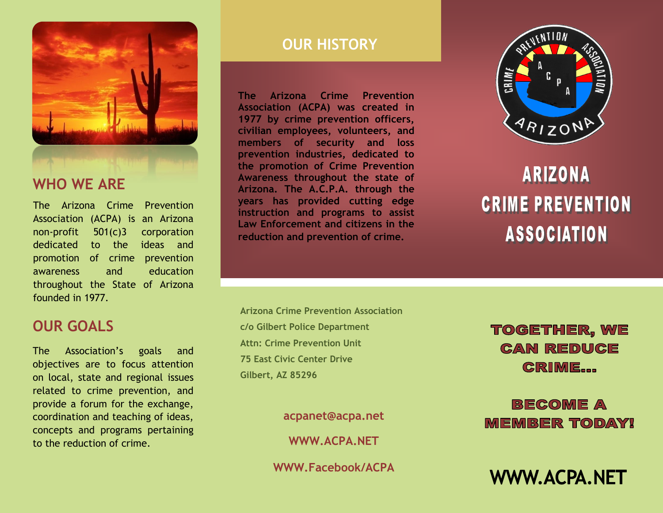

The Arizona Crime Prevention Association (ACPA) is an Arizona non-profit 501(c)3 corporation dedicated to the ideas and promotion of crime prevention awareness and education throughout the State of Arizona founded in 1977.

## **OUR GOALS**

The Association's goals and objectives are to focus attention on local, state and regional issues related to crime prevention, and provide a forum for the exchange, coordination and teaching of ideas, concepts and programs pertaining to the reduction of crime.

## **OUR HISTORY**

**The Arizona Crime Prevention Association (ACPA) was created in 1977 by crime prevention officers, civilian employees, volunteers, and members of security and loss prevention industries, dedicated to the promotion of Crime Prevention Awareness throughout the state of Arizona. The A.C.P.A. through the years has provided cutting edge instruction and programs to assist Law Enforcement and citizens in the reduction and prevention of crime.**



# **ARIZONA CRIME PREVENTION ASSOCIATION**

**Arizona Crime Prevention Association c/o Gilbert Police Department Attn: Crime Prevention Unit 75 East Civic Center Drive Gilbert, AZ 85296**

**acpanet@acpa.net**

**WWW.ACPA.NET**

**WWW.Facebook/ACPA**

## **TOGETHER, WE CAN REDUCE CRIME...**

**BECOME A MEMBER TODAY!** 

**WWW.ACPA.NET**